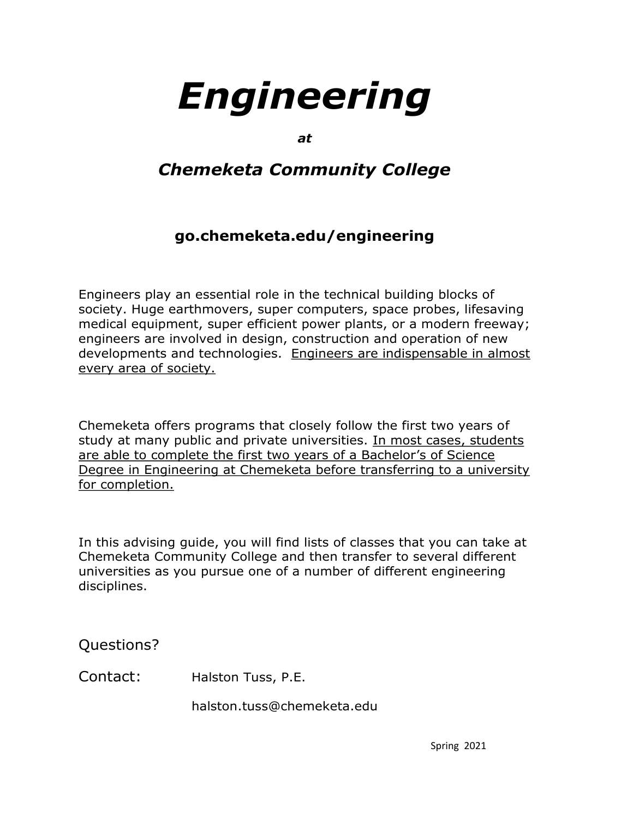*at*

# *Chemeketa Community College*

# **go.chemeketa.edu/engineering**

**Engine 2021 Theory of the Community College**<br> **Engine Community College**<br> **Spot Community College**<br> **Space propulsers, super computers, space probes, lifesting<br>
pan essential role in the technical building blocks of<br>
ent,** Engineers play an essential role in the technical building blocks of society. Huge earthmovers, super computers, space probes, lifesaving medical equipment, super efficient power plants, or a modern freeway; engineers are involved in design, construction and operation of new developments and technologies. Engineers are indispensable in almost every area of society.

Chemeketa offers programs that closely follow the first two years of study at many public and private universities. In most cases, students are able to complete the first two years of a Bachelor's of Science Degree in Engineering at Chemeketa before transferring to a university for completion.

In this advising guide, you will find lists of classes that you can take at Chemeketa Community College and then transfer to several different universities as you pursue one of a number of different engineering disciplines.

Questions?

Contact: Halston Tuss, P.E.

halston.tuss@chemeketa.edu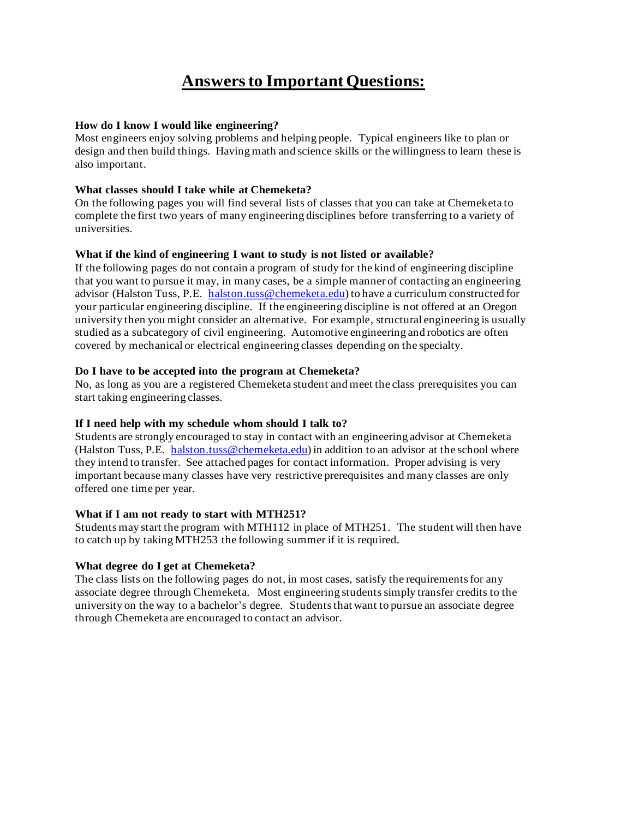# **Answers to Important Questions:**

# **How do I know I would like engineering?**

Most engineers enjoy solving problems and helping people. Typical engineers like to plan or design and then build things. Having math and science skills or the willingness to learn these is also important.

# **What classes should I take while at Chemeketa?**

On the following pages you will find several lists of classes that you can take at Chemeketa to complete the first two years of many engineering disciplines before transferring to a variety of universities.

# **What if the kind of engineering I want to study is not listed or available?**

If the following pages do not contain a program of study for the kind of engineering discipline that you want to pursue it may, in many cases, be a simple manner of contacting an engineering advisor (Halston Tuss, P.E. halston.tuss@chemeketa.edu) to have a curriculum constructed for your particular engineering discipline. If the engineering discipline is not offered at an Oregon university then you might consider an alternative. For example, structural engineering is usually studied as a subcategory of civil engineering. Automotive engineering and robotics are often covered by mechanical or electrical engineering classes depending on the specialty.

# **Do I have to be accepted into the program at Chemeketa?**

No, as long as you are a registered Chemeketa student and meet the class prerequisites you can start taking engineering classes.

# **If I need help with my schedule whom should I talk to?**

Students are strongly encouraged to stay in contact with an engineering advisor at Chemeketa (Halston Tuss, P.E. halston.tuss@chemeketa.edu) in addition to an advisor at the school where they intend to transfer. See attached pages for contact information. Proper advising is very important because many classes have very restrictive prerequisites and many classes are only offered one time per year.

#### **What if I am not ready to start with MTH251?**

Students may start the program with MTH112 in place of MTH251. The student will then have to catch up by taking MTH253 the following summer if it is required.

# **What degree do I get at Chemeketa?**

The class lists on the following pages do not, in most cases, satisfy the requirements for any associate degree through Chemeketa. Most engineering students simply transfer credits to the university on the way to a bachelor's degree. Students that want to pursue an associate degree through Chemeketa are encouraged to contact an advisor.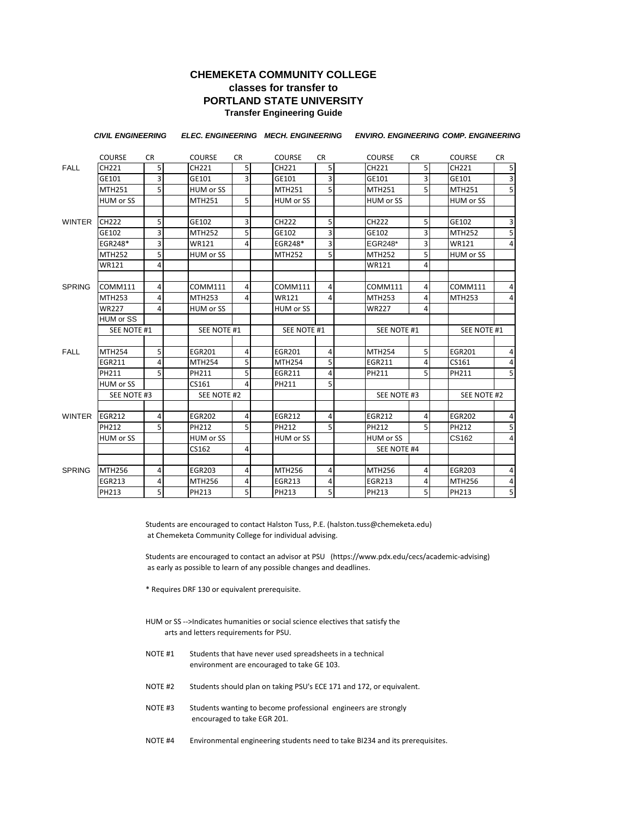### **CHEMEKETA COMMUNITY COLLEGE classes for transfer to PORTLAND STATE UNIVERSITY Transfer Engineering Guide**

|               | <b>CIVIL ENGINEERING</b> |                     |                  |                | ELEC. ENGINEERING MECH. ENGINEERING |                | <b>ENVIRO. ENGINEERING COMP. ENGINEERING</b> |                |                  |                                  |
|---------------|--------------------------|---------------------|------------------|----------------|-------------------------------------|----------------|----------------------------------------------|----------------|------------------|----------------------------------|
|               | <b>COURSE</b>            | <b>CR</b>           | <b>COURSE</b>    | <b>CR</b>      | <b>COURSE</b>                       | <b>CR</b>      | <b>COURSE</b>                                | <b>CR</b>      | <b>COURSE</b>    | <b>CR</b>                        |
| <b>FALL</b>   | CH221                    | $5\overline{5}$     | CH221            | 5 <sub>l</sub> | CH221                               | 5 <sub>l</sub> | CH221                                        | 5 <sub>l</sub> | CH221            | 5                                |
|               | GE101                    | $\overline{3}$      | GE101            | 3              | GE101                               | $\overline{3}$ | GE101                                        | 3              | GE101            | $\overline{3}$                   |
|               | MTH251                   | $\overline{5}$      | <b>HUM or SS</b> |                | MTH251                              | $\overline{5}$ | MTH251                                       | 5              | <b>MTH251</b>    | $\overline{5}$                   |
|               | HUM or SS                |                     | <b>MTH251</b>    | 5              | HUM or SS                           |                | HUM or SS                                    |                | <b>HUM or SS</b> |                                  |
| WINTER        | <b>CH222</b>             | 5 <sub>5</sub>      | GE102            | 3              | CH222                               | 5              | CH222                                        | 5              | GE102            | 3                                |
|               | GE102                    | 3                   | <b>MTH252</b>    | 5              | GE102                               | 3              | GE102                                        | 3              | <b>MTH252</b>    | $\overline{5}$                   |
|               | EGR248*                  | $\overline{3}$      | <b>WR121</b>     | 4              | EGR248*                             | $\overline{3}$ | EGR248*                                      | 3              | <b>WR121</b>     | 4                                |
|               | <b>MTH252</b>            | 5                   | HUM or SS        |                | <b>MTH252</b>                       | 5 <sup>1</sup> | <b>MTH252</b>                                | 5              | HUM or SS        |                                  |
|               | WR121                    | 4                   |                  |                |                                     |                | <b>WR121</b>                                 | 4              |                  |                                  |
| <b>SPRING</b> | COMM111                  | 4                   | <b>COMM111</b>   | 4              | COMM111                             | 4              | COMM111                                      | 4              | COMM111          | 4                                |
|               | <b>MTH253</b>            | 4                   | <b>MTH253</b>    | 4              | <b>WR121</b>                        | 4              | <b>MTH253</b>                                | 4              | <b>MTH253</b>    | 4                                |
|               | WR227                    | 4                   | HUM or SS        |                | HUM or SS                           |                | <b>WR227</b>                                 | 4              |                  |                                  |
|               | HUM or SS                |                     |                  |                |                                     |                |                                              |                |                  |                                  |
|               | SEE NOTE #1              |                     | SEE NOTE #1      |                | SEE NOTE #1                         |                | SEE NOTE #1                                  |                | SEE NOTE #1      |                                  |
| <b>FALL</b>   | <b>MTH254</b>            | 5                   | <b>EGR201</b>    | 4              | <b>EGR201</b>                       | $\overline{4}$ | <b>MTH254</b>                                | 5              | <b>EGR201</b>    | 4                                |
|               | <b>EGR211</b>            | $\overline{4}$      | <b>MTH254</b>    | 5              | <b>MTH254</b>                       | 5              | <b>EGR211</b>                                | 4              | CS161            | 4                                |
|               | PH211                    | 5                   | PH211            | 5              | <b>EGR211</b>                       | 4              | PH211                                        | 5              | PH211            | 5                                |
|               | HUM or SS                |                     | CS161            | 4              | PH211                               | 5              |                                              |                |                  |                                  |
|               | SEE NOTE #3              |                     | SEE NOTE #2      |                |                                     |                | SEE NOTE #3                                  |                | SEE NOTE #2      |                                  |
| WINTER        | <b>EGR212</b>            | $\overline{4}$      | <b>EGR202</b>    | 4              | <b>EGR212</b>                       | 4              | <b>EGR212</b>                                | 4              | <b>EGR202</b>    | 4                                |
|               | PH212                    | 5                   | PH212            | 5              | PH212                               | 5              | PH212                                        | 5              | PH212            | 5                                |
|               | HUM or SS                |                     | HUM or SS        |                | HUM or SS                           |                | HUM or SS                                    |                | CS162            | 4                                |
|               |                          |                     | CS162            | 4              |                                     |                | SEE NOTE #4                                  |                |                  |                                  |
|               | <b>MTH256</b>            | $\overline{4}$      |                  | 4              | MTH256                              | 4              | <b>MTH256</b>                                |                | <b>EGR203</b>    |                                  |
| <b>SPRING</b> |                          |                     | <b>EGR203</b>    |                |                                     |                |                                              | 4              |                  | 4                                |
|               | <b>EGR213</b>            | 4<br>$\overline{5}$ | <b>MTH256</b>    | 4              | EGR213                              | 4              | <b>EGR213</b>                                | 4              | <b>MTH256</b>    | $\overline{a}$<br>$\overline{5}$ |
|               | PH213                    |                     | PH213            | 5              | PH213                               | 5 <sup>1</sup> | PH213                                        | 5              | PH213            |                                  |

Students are encouraged to contact Halston Tuss, P.E. (halston.tuss@chemeketa.edu) at Chemeketa Community College for individual advising.

Students are encouraged to contact an advisor at PSU (https://www.pdx.edu/cecs/academic-advising) as early as possible to learn of any possible changes and deadlines.

- \* Requires DRF 130 or equivalent prerequisite.
- HUM or SS -->Indicates humanities or social science electives that satisfy the arts and letters requirements for PSU.
- NOTE #1 Students that have never used spreadsheets in a technical environment are encouraged to take GE 103.
- NOTE #2 Students should plan on taking PSU's ECE 171 and 172, or equivalent.
- NOTE #3 Students wanting to become professional engineers are strongly encouraged to take EGR 201.
- NOTE #4 Environmental engineering students need to take BI234 and its prerequisites.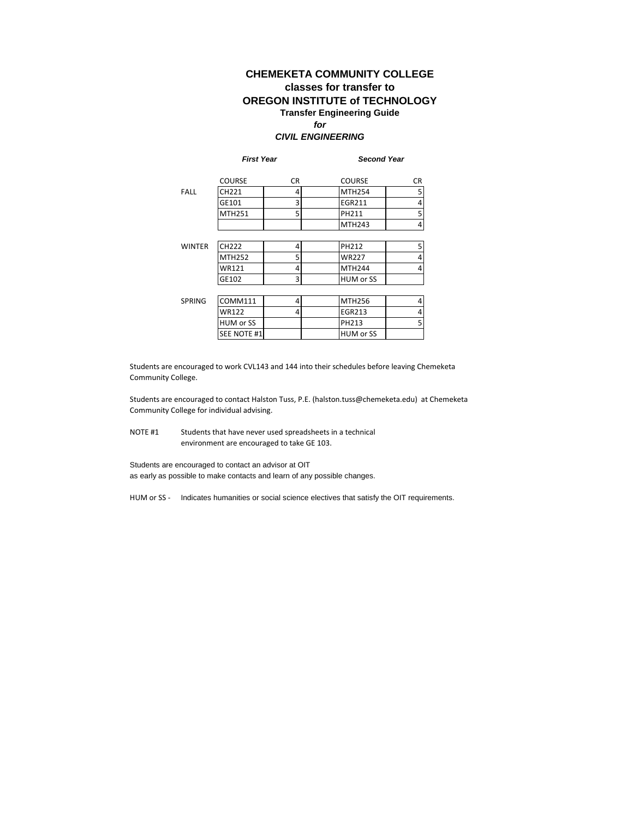### **CHEMEKETA COMMUNITY COLLEGE classes for transfer to OREGON INSTITUTE of TECHNOLOGY Transfer Engineering Guide** *for*

#### *CIVIL ENGINEERING*

|               | <b>First Year</b> |     | <b>Second Year</b> |     |  |  |
|---------------|-------------------|-----|--------------------|-----|--|--|
|               | <b>COURSE</b>     | CR. | <b>COURSE</b>      | CR. |  |  |
| <b>FALL</b>   | CH221             | 4   | <b>MTH254</b>      | 5   |  |  |
|               | GE101             | 3   | EGR211             | 4   |  |  |
|               | MTH251            | 5   | PH211              | 5   |  |  |
|               |                   |     | <b>MTH243</b>      | 4   |  |  |
|               |                   |     |                    |     |  |  |
| <b>WINTER</b> | CH222             | 4   | PH212              | 5   |  |  |
|               | <b>MTH252</b>     | 5   | <b>WR227</b>       | 4   |  |  |
|               | WR121             | 4   | <b>MTH244</b>      | 4   |  |  |
|               | GE102             | 3   | HUM or SS          |     |  |  |
|               |                   |     |                    |     |  |  |
| <b>SPRING</b> | COMM111           | 4   | <b>MTH256</b>      | 4   |  |  |
|               | <b>WR122</b>      | 4   | <b>EGR213</b>      | 4   |  |  |
|               | HUM or SS         |     | PH213              | 5   |  |  |
|               | SEE NOTE #1       |     | HUM or SS          |     |  |  |

Students are encouraged to work CVL143 and 144 into their schedules before leaving Chemeketa Community College.

Students are encouraged to contact Halston Tuss, P.E. (halston.tuss@chemeketa.edu) at Chemeketa Community College for individual advising.

NOTE #1 Students that have never used spreadsheets in a technical environment are encouraged to take GE 103.

Students are encouraged to contact an advisor at OIT as early as possible to make contacts and learn of any possible changes.

HUM or SS - Indicates humanities or social science electives that satisfy the OIT requirements.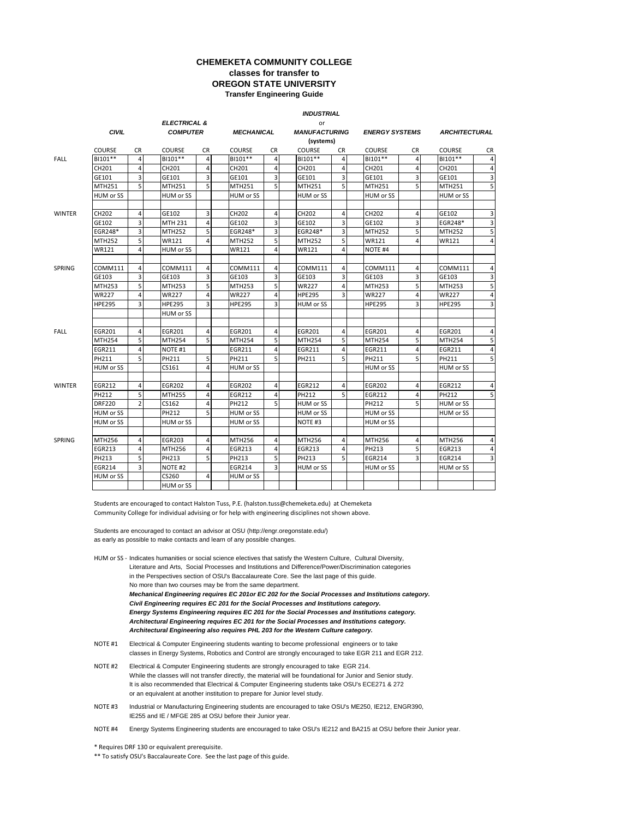#### **CHEMEKETA COMMUNITY COLLEGE classes for transfer to OREGON STATE UNIVERSITY Transfer Engineering Guide**

#### *INDUSTRIAL*

|               | <b>CIVIL</b>  |                | <b>ELECTRICAL &amp;</b><br><b>COMPUTER</b> |                |               | <b>MECHANICAL</b> |                    | or<br><b>MANUFACTURING</b> |                    | <b>ENERGY SYSTEMS</b> |               | <b>ARCHITECTURAL</b> |  |
|---------------|---------------|----------------|--------------------------------------------|----------------|---------------|-------------------|--------------------|----------------------------|--------------------|-----------------------|---------------|----------------------|--|
|               |               |                |                                            |                |               |                   |                    |                            |                    |                       |               |                      |  |
|               |               |                |                                            |                |               |                   |                    | (systems)                  |                    |                       |               |                      |  |
|               | <b>COURSE</b> | <b>CR</b>      | <b>COURSE</b>                              | CR             | <b>COURSE</b> | CR.               | <b>COURSE</b>      | <b>CR</b>                  | <b>COURSE</b>      | CR.                   | <b>COURSE</b> | CR                   |  |
| <b>FALL</b>   | BI101**       | 4              | BI101**                                    | 4              | BI101**       | 4                 | BI101**            | 4                          | BI101**            | $\overline{4}$        | BI101**       | $\overline{4}$       |  |
|               | CH201         | $\overline{4}$ | CH201                                      | 4              | CH201         | $\overline{4}$    | CH201              | 4                          | CH201              | 4                     | CH201         | $\overline{4}$       |  |
|               | GE101         | 3              | GE101                                      | 3              | GE101         | 3                 | GE101              | 3                          | GE101              | 3                     | GE101         | 3                    |  |
|               | <b>MTH251</b> | 5              | <b>MTH251</b>                              | 5              | <b>MTH251</b> | 5                 | MTH251             | 5                          | MTH251             | 5                     | <b>MTH251</b> | 5                    |  |
|               | HUM or SS     |                | HUM or SS                                  |                | HUM or SS     |                   | HUM or SS          |                            | HUM or SS          |                       | HUM or SS     |                      |  |
|               |               |                |                                            |                |               |                   |                    |                            |                    |                       |               |                      |  |
| <b>WINTER</b> | CH202         | $\overline{4}$ | GE102                                      | 3              | CH202         | 4                 | CH202              | 4                          | CH202              | 4                     | GE102         | 3                    |  |
|               | GE102         | 3              | MTH 231                                    | $\overline{4}$ | GE102         | 3                 | GE102              | 3                          | GE102              | 3                     | EGR248*       | $\overline{3}$       |  |
|               | EGR248*       | 3              | <b>MTH252</b>                              | 5 <sub>5</sub> | EGR248*       | 3                 | EGR248*            | 3                          | <b>MTH252</b>      | 5                     | <b>MTH252</b> | 5                    |  |
|               | <b>MTH252</b> | 5              | <b>WR121</b>                               | 4              | MTH252        | 5                 | <b>MTH252</b>      | 5                          | <b>WR121</b>       | 4                     | <b>WR121</b>  | 4                    |  |
|               | <b>WR121</b>  | 4              | <b>HUM or SS</b>                           |                | <b>WR121</b>  | 4                 | <b>WR121</b>       | 4                          | NOTE <sub>#4</sub> |                       |               |                      |  |
|               |               |                |                                            |                |               |                   |                    |                            |                    |                       |               |                      |  |
| <b>SPRING</b> | COMM111       | $\overline{4}$ | COMM111                                    | 4              | COMM111       | 4                 | COMM111            | 4                          | COMM111            | 4                     | COMM111       | $\overline{4}$       |  |
|               | GE103         | 3              | GE103                                      | $\overline{3}$ | GE103         | 3                 | GE103              | 3                          | GE103              | 3                     | GE103         | $\overline{3}$       |  |
|               | <b>MTH253</b> | 5              | MTH253                                     | 5 <sub>1</sub> | <b>MTH253</b> | 5                 | WR227              | 4                          | <b>MTH253</b>      | 5                     | <b>MTH253</b> | 5                    |  |
|               | <b>WR227</b>  | 4              | <b>WR227</b>                               | $\overline{4}$ | <b>WR227</b>  | $\overline{4}$    | <b>HPE295</b>      | 3                          | <b>WR227</b>       | 4                     | <b>WR227</b>  | $\overline{4}$       |  |
|               | <b>HPE295</b> | 3              | <b>HPE295</b>                              | 3              | <b>HPE295</b> | 3                 | <b>HUM or SS</b>   |                            | <b>HPE295</b>      | 3                     | <b>HPE295</b> | 3                    |  |
|               |               |                | HUM or SS                                  |                |               |                   |                    |                            |                    |                       |               |                      |  |
|               |               |                |                                            |                |               |                   |                    |                            |                    |                       |               |                      |  |
| <b>FALL</b>   | <b>EGR201</b> | $\overline{4}$ | <b>EGR201</b>                              | 4              | <b>EGR201</b> | 4                 | <b>EGR201</b>      | 4                          | <b>EGR201</b>      | 4                     | <b>EGR201</b> | 4                    |  |
|               | <b>MTH254</b> | 5              | <b>MTH254</b>                              | 5 <sub>1</sub> | <b>MTH254</b> | 5                 | <b>MTH254</b>      | 5                          | <b>MTH254</b>      | 5                     | <b>MTH254</b> | 5                    |  |
|               | <b>EGR211</b> | 4              | NOTE #1                                    |                | <b>EGR211</b> | 4                 | <b>EGR211</b>      | 4                          | EGR211             | 4                     | EGR211        | $\overline{4}$       |  |
|               | PH211         | 5              | PH211                                      | 5              | PH211         | 5                 | PH211              | 5                          | PH211              | 5                     | PH211         | 5                    |  |
|               | HUM or SS     |                | CS161                                      | 4              | HUM or SS     |                   |                    |                            | HUM or SS          |                       | HUM or SS     |                      |  |
|               |               |                |                                            |                |               |                   |                    |                            |                    |                       |               |                      |  |
| <b>WINTER</b> | <b>EGR212</b> | 4              | <b>EGR202</b>                              | 4              | <b>EGR202</b> | 4                 | <b>EGR212</b>      | 4                          | <b>EGR202</b>      | 4                     | <b>EGR212</b> | 4                    |  |
|               | PH212         | 5              | <b>MTH255</b>                              | 4              | <b>EGR212</b> | $\overline{4}$    | PH212              | 5                          | <b>EGR212</b>      | 4                     | PH212         | 5                    |  |
|               | <b>DRF220</b> | $\overline{2}$ | CS162                                      | 4              | PH212         | 5                 | <b>HUM or SS</b>   |                            | PH212              | 5                     | HUM or SS     |                      |  |
|               | HUM or SS     |                | PH212                                      | 5              | HUM or SS     |                   | HUM or SS          |                            | HUM or SS          |                       | HUM or SS     |                      |  |
|               | HUM or SS     |                | HUM or SS                                  |                | HUM or SS     |                   | NOTE <sub>#3</sub> |                            | HUM or SS          |                       |               |                      |  |
|               |               |                |                                            |                |               |                   |                    |                            |                    |                       |               |                      |  |
| <b>SPRING</b> | <b>MTH256</b> | $\overline{4}$ | <b>EGR203</b>                              | 4              | MTH256        | 4                 | MTH256             | 4                          | MTH256             | 4                     | MTH256        | $\overline{4}$       |  |
|               | <b>EGR213</b> | $\overline{4}$ | <b>MTH256</b>                              | $\overline{4}$ | EGR213        | $\overline{4}$    | EGR213             | 4                          | PH213              | 5                     | <b>EGR213</b> | $\overline{4}$       |  |
|               | PH213         | 5              | PH213                                      | 5              | PH213         | 5                 | PH213              | 5                          | <b>EGR214</b>      | 3                     | <b>EGR214</b> | 3                    |  |
|               | <b>EGR214</b> | 3              | NOTE #2                                    |                | <b>EGR214</b> | $\overline{3}$    | HUM or SS          |                            | HUM or SS          |                       | HUM or SS     |                      |  |
|               | HUM or SS     |                | CS260                                      | 4              | HUM or SS     |                   |                    |                            |                    |                       |               |                      |  |
|               |               |                | <b>HUM or SS</b>                           |                |               |                   |                    |                            |                    |                       |               |                      |  |

Students are encouraged to contact Halston Tuss, P.E. (halston.tuss@chemeketa.edu) at Chemeketa Community College for individual advising or for help with engineering disciplines not shown above.

Students are encouraged to contact an advisor at OSU (http://engr.oregonstate.edu/) as early as possible to make contacts and learn of any possible changes.

HUM or SS - Indicates humanities or social science electives that satisfy the Western Culture, Cultural Diversity, Literature and Arts, Social Processes and Institutions and Difference/Power/Discrimination categories in the Perspectives section of OSU's Baccalaureate Core. See the last page of this guide. No more than two courses may be from the same department. *Mechanical Engineering requires EC 201or EC 202 for the Social Processes and Institutions category. Civil Engineering requires EC 201 for the Social Processes and Institutions category. Energy Systems Engineering requires EC 201 for the Social Processes and Institutions category. Architectural Engineering requires EC 201 for the Social Processes and Institutions category. Architectural Engineering also requires PHL 203 for the Western Culture category.*

- NOTE #1 Electrical & Computer Engineering students wanting to become professional engineers or to take classes in Energy Systems, Robotics and Control are strongly encouraged to take EGR 211 and EGR 212.
- NOTE #2 Electrical & Computer Engineering students are strongly encouraged to take EGR 214. While the classes will not transfer directly, the material will be foundational for Junior and Senior study. It is also recommended that Electrical & Computer Engineering students take OSU's ECE271 & 272 or an equivalent at another institution to prepare for Junior level study.
- NOTE #3 Industrial or Manufacturing Engineering students are encouraged to take OSU's ME250, IE212, ENGR390, IE255 and IE / MFGE 285 at OSU before their Junior year.
- NOTE #4 Energy Systems Engineering students are encouraged to take OSU's IE212 and BA215 at OSU before their Junior year.

\* Requires DRF 130 or equivalent prerequisite.

\*\* To satisfy OSU's Baccalaureate Core. See the last page of this guide.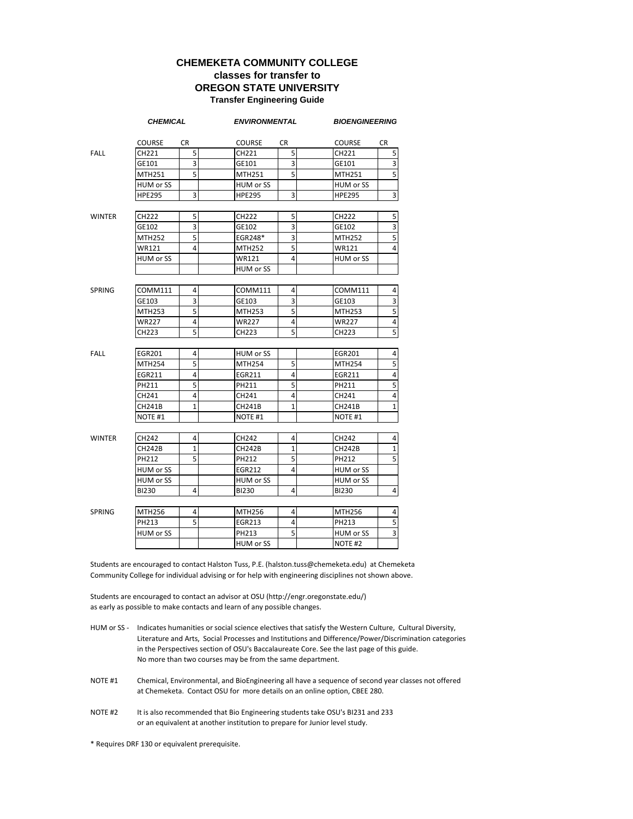#### **CHEMEKETA COMMUNITY COLLEGE classes for transfer to OREGON STATE UNIVERSITY Transfer Engineering Guide**

| <b>COURSE</b><br>CR<br><b>COURSE</b><br>CR<br><b>COURSE</b><br>CR<br>5 <sup>1</sup><br>5<br><b>FALL</b><br>CH221<br>CH221<br>CH221<br>3<br>3<br>GE101<br>GE101<br>GE101<br>$\overline{5}$<br>5<br><b>MTH251</b><br>MTH251<br><b>MTH251</b><br>HUM or SS<br>HUM or SS<br>HUM or SS<br><b>HPE295</b><br>3<br><b>HPE295</b><br>3<br><b>HPE295</b><br>5<br>5<br>5<br><b>WINTER</b><br><b>CH222</b><br>CH222<br><b>CH222</b><br>3<br>3<br>3<br>GE102<br>GE102<br>GE102<br>5<br>EGR248*<br>3<br>MTH252<br><b>MTH252</b><br>5<br>5<br><b>WR121</b><br>4<br><b>WR121</b><br>4<br>MTH252<br>$\overline{\mathbf{4}}$<br>HUM or SS<br>HUM or SS<br>WR121<br>HUM or SS<br><b>COMM111</b><br>4<br>COMM111<br>4<br>COMM111<br><b>SPRING</b><br>3<br>3<br>GE103<br>GE103<br>GE103<br>5<br>5<br>MTH253<br>MTH253<br><b>MTH253</b><br>4<br>4<br><b>WR227</b><br><b>WR227</b><br><b>WR227</b><br>5<br>5<br>CH223<br>CH223<br>CH223<br><b>FALL</b><br>4<br>HUM or SS<br><b>EGR201</b><br><b>EGR201</b><br>4<br>5<br>5<br><b>MTH254</b><br><b>MTH254</b><br>5<br><b>MTH254</b><br>4<br>4<br>$\overline{4}$<br>EGR211<br>EGR211<br>EGR211<br>5<br>5<br>5<br>PH211<br>PH211<br>PH211<br>4<br>4<br>CH241<br>CH241<br>CH241<br>4<br>$\mathbf{1}$<br>$\mathbf 1$<br><b>CH241B</b><br>CH241B<br><b>CH241B</b><br>NOTE #1<br>NOTE #1<br>NOTE <sub>#1</sub><br>CH242<br>4<br>4<br><b>WINTER</b><br>CH242<br>CH242<br>4<br>$\mathbf{1}$<br>$\mathbf{1}$<br><b>CH242B</b><br><b>CH242B</b><br><b>CH242B</b><br>1<br>5<br>5<br>PH212<br>PH212<br>5<br>PH212<br>4<br>HUM or SS<br>HUM or SS<br>EGR212<br>HUM or SS<br>HUM or SS<br>HUM or SS<br><b>BI230</b><br>4<br>4<br><b>BI230</b><br>BI230<br>4<br>4<br>4<br><b>SPRING</b><br><b>MTH256</b><br>MTH256<br><b>MTH256</b><br>5<br>PH213<br>4<br>PH213<br>EGR213<br>5<br>HUM or SS<br>PH213<br>HUM or SS<br>HUM or SS<br>NOTE #2 | <b>CHEMICAL</b> |  | <b>ENVIRONMENTAL</b> | <b>BIOENGINEERING</b> |                |  |
|---------------------------------------------------------------------------------------------------------------------------------------------------------------------------------------------------------------------------------------------------------------------------------------------------------------------------------------------------------------------------------------------------------------------------------------------------------------------------------------------------------------------------------------------------------------------------------------------------------------------------------------------------------------------------------------------------------------------------------------------------------------------------------------------------------------------------------------------------------------------------------------------------------------------------------------------------------------------------------------------------------------------------------------------------------------------------------------------------------------------------------------------------------------------------------------------------------------------------------------------------------------------------------------------------------------------------------------------------------------------------------------------------------------------------------------------------------------------------------------------------------------------------------------------------------------------------------------------------------------------------------------------------------------------------------------------------------------------------------------------------------------------------------------------------------------------------------------------------|-----------------|--|----------------------|-----------------------|----------------|--|
|                                                                                                                                                                                                                                                                                                                                                                                                                                                                                                                                                                                                                                                                                                                                                                                                                                                                                                                                                                                                                                                                                                                                                                                                                                                                                                                                                                                                                                                                                                                                                                                                                                                                                                                                                                                                                                                   |                 |  |                      |                       |                |  |
|                                                                                                                                                                                                                                                                                                                                                                                                                                                                                                                                                                                                                                                                                                                                                                                                                                                                                                                                                                                                                                                                                                                                                                                                                                                                                                                                                                                                                                                                                                                                                                                                                                                                                                                                                                                                                                                   |                 |  |                      |                       | 5              |  |
|                                                                                                                                                                                                                                                                                                                                                                                                                                                                                                                                                                                                                                                                                                                                                                                                                                                                                                                                                                                                                                                                                                                                                                                                                                                                                                                                                                                                                                                                                                                                                                                                                                                                                                                                                                                                                                                   |                 |  |                      |                       | 3              |  |
|                                                                                                                                                                                                                                                                                                                                                                                                                                                                                                                                                                                                                                                                                                                                                                                                                                                                                                                                                                                                                                                                                                                                                                                                                                                                                                                                                                                                                                                                                                                                                                                                                                                                                                                                                                                                                                                   |                 |  |                      |                       | 5              |  |
|                                                                                                                                                                                                                                                                                                                                                                                                                                                                                                                                                                                                                                                                                                                                                                                                                                                                                                                                                                                                                                                                                                                                                                                                                                                                                                                                                                                                                                                                                                                                                                                                                                                                                                                                                                                                                                                   |                 |  |                      |                       |                |  |
|                                                                                                                                                                                                                                                                                                                                                                                                                                                                                                                                                                                                                                                                                                                                                                                                                                                                                                                                                                                                                                                                                                                                                                                                                                                                                                                                                                                                                                                                                                                                                                                                                                                                                                                                                                                                                                                   |                 |  |                      |                       | 3              |  |
|                                                                                                                                                                                                                                                                                                                                                                                                                                                                                                                                                                                                                                                                                                                                                                                                                                                                                                                                                                                                                                                                                                                                                                                                                                                                                                                                                                                                                                                                                                                                                                                                                                                                                                                                                                                                                                                   |                 |  |                      |                       |                |  |
|                                                                                                                                                                                                                                                                                                                                                                                                                                                                                                                                                                                                                                                                                                                                                                                                                                                                                                                                                                                                                                                                                                                                                                                                                                                                                                                                                                                                                                                                                                                                                                                                                                                                                                                                                                                                                                                   |                 |  |                      |                       |                |  |
|                                                                                                                                                                                                                                                                                                                                                                                                                                                                                                                                                                                                                                                                                                                                                                                                                                                                                                                                                                                                                                                                                                                                                                                                                                                                                                                                                                                                                                                                                                                                                                                                                                                                                                                                                                                                                                                   |                 |  |                      |                       |                |  |
|                                                                                                                                                                                                                                                                                                                                                                                                                                                                                                                                                                                                                                                                                                                                                                                                                                                                                                                                                                                                                                                                                                                                                                                                                                                                                                                                                                                                                                                                                                                                                                                                                                                                                                                                                                                                                                                   |                 |  |                      |                       |                |  |
|                                                                                                                                                                                                                                                                                                                                                                                                                                                                                                                                                                                                                                                                                                                                                                                                                                                                                                                                                                                                                                                                                                                                                                                                                                                                                                                                                                                                                                                                                                                                                                                                                                                                                                                                                                                                                                                   |                 |  |                      |                       |                |  |
|                                                                                                                                                                                                                                                                                                                                                                                                                                                                                                                                                                                                                                                                                                                                                                                                                                                                                                                                                                                                                                                                                                                                                                                                                                                                                                                                                                                                                                                                                                                                                                                                                                                                                                                                                                                                                                                   |                 |  |                      |                       |                |  |
|                                                                                                                                                                                                                                                                                                                                                                                                                                                                                                                                                                                                                                                                                                                                                                                                                                                                                                                                                                                                                                                                                                                                                                                                                                                                                                                                                                                                                                                                                                                                                                                                                                                                                                                                                                                                                                                   |                 |  |                      |                       |                |  |
|                                                                                                                                                                                                                                                                                                                                                                                                                                                                                                                                                                                                                                                                                                                                                                                                                                                                                                                                                                                                                                                                                                                                                                                                                                                                                                                                                                                                                                                                                                                                                                                                                                                                                                                                                                                                                                                   |                 |  |                      |                       | 4              |  |
|                                                                                                                                                                                                                                                                                                                                                                                                                                                                                                                                                                                                                                                                                                                                                                                                                                                                                                                                                                                                                                                                                                                                                                                                                                                                                                                                                                                                                                                                                                                                                                                                                                                                                                                                                                                                                                                   |                 |  |                      |                       | 3              |  |
|                                                                                                                                                                                                                                                                                                                                                                                                                                                                                                                                                                                                                                                                                                                                                                                                                                                                                                                                                                                                                                                                                                                                                                                                                                                                                                                                                                                                                                                                                                                                                                                                                                                                                                                                                                                                                                                   |                 |  |                      |                       | 5              |  |
|                                                                                                                                                                                                                                                                                                                                                                                                                                                                                                                                                                                                                                                                                                                                                                                                                                                                                                                                                                                                                                                                                                                                                                                                                                                                                                                                                                                                                                                                                                                                                                                                                                                                                                                                                                                                                                                   |                 |  |                      |                       | $\overline{4}$ |  |
|                                                                                                                                                                                                                                                                                                                                                                                                                                                                                                                                                                                                                                                                                                                                                                                                                                                                                                                                                                                                                                                                                                                                                                                                                                                                                                                                                                                                                                                                                                                                                                                                                                                                                                                                                                                                                                                   |                 |  |                      |                       | 5              |  |
|                                                                                                                                                                                                                                                                                                                                                                                                                                                                                                                                                                                                                                                                                                                                                                                                                                                                                                                                                                                                                                                                                                                                                                                                                                                                                                                                                                                                                                                                                                                                                                                                                                                                                                                                                                                                                                                   |                 |  |                      |                       |                |  |
|                                                                                                                                                                                                                                                                                                                                                                                                                                                                                                                                                                                                                                                                                                                                                                                                                                                                                                                                                                                                                                                                                                                                                                                                                                                                                                                                                                                                                                                                                                                                                                                                                                                                                                                                                                                                                                                   |                 |  |                      |                       |                |  |
|                                                                                                                                                                                                                                                                                                                                                                                                                                                                                                                                                                                                                                                                                                                                                                                                                                                                                                                                                                                                                                                                                                                                                                                                                                                                                                                                                                                                                                                                                                                                                                                                                                                                                                                                                                                                                                                   |                 |  |                      |                       |                |  |
|                                                                                                                                                                                                                                                                                                                                                                                                                                                                                                                                                                                                                                                                                                                                                                                                                                                                                                                                                                                                                                                                                                                                                                                                                                                                                                                                                                                                                                                                                                                                                                                                                                                                                                                                                                                                                                                   |                 |  |                      |                       |                |  |
|                                                                                                                                                                                                                                                                                                                                                                                                                                                                                                                                                                                                                                                                                                                                                                                                                                                                                                                                                                                                                                                                                                                                                                                                                                                                                                                                                                                                                                                                                                                                                                                                                                                                                                                                                                                                                                                   |                 |  |                      |                       |                |  |
|                                                                                                                                                                                                                                                                                                                                                                                                                                                                                                                                                                                                                                                                                                                                                                                                                                                                                                                                                                                                                                                                                                                                                                                                                                                                                                                                                                                                                                                                                                                                                                                                                                                                                                                                                                                                                                                   |                 |  |                      |                       |                |  |
|                                                                                                                                                                                                                                                                                                                                                                                                                                                                                                                                                                                                                                                                                                                                                                                                                                                                                                                                                                                                                                                                                                                                                                                                                                                                                                                                                                                                                                                                                                                                                                                                                                                                                                                                                                                                                                                   |                 |  |                      |                       | 1              |  |
|                                                                                                                                                                                                                                                                                                                                                                                                                                                                                                                                                                                                                                                                                                                                                                                                                                                                                                                                                                                                                                                                                                                                                                                                                                                                                                                                                                                                                                                                                                                                                                                                                                                                                                                                                                                                                                                   |                 |  |                      |                       |                |  |
|                                                                                                                                                                                                                                                                                                                                                                                                                                                                                                                                                                                                                                                                                                                                                                                                                                                                                                                                                                                                                                                                                                                                                                                                                                                                                                                                                                                                                                                                                                                                                                                                                                                                                                                                                                                                                                                   |                 |  |                      |                       |                |  |
|                                                                                                                                                                                                                                                                                                                                                                                                                                                                                                                                                                                                                                                                                                                                                                                                                                                                                                                                                                                                                                                                                                                                                                                                                                                                                                                                                                                                                                                                                                                                                                                                                                                                                                                                                                                                                                                   |                 |  |                      |                       |                |  |
|                                                                                                                                                                                                                                                                                                                                                                                                                                                                                                                                                                                                                                                                                                                                                                                                                                                                                                                                                                                                                                                                                                                                                                                                                                                                                                                                                                                                                                                                                                                                                                                                                                                                                                                                                                                                                                                   |                 |  |                      |                       |                |  |
|                                                                                                                                                                                                                                                                                                                                                                                                                                                                                                                                                                                                                                                                                                                                                                                                                                                                                                                                                                                                                                                                                                                                                                                                                                                                                                                                                                                                                                                                                                                                                                                                                                                                                                                                                                                                                                                   |                 |  |                      |                       |                |  |
|                                                                                                                                                                                                                                                                                                                                                                                                                                                                                                                                                                                                                                                                                                                                                                                                                                                                                                                                                                                                                                                                                                                                                                                                                                                                                                                                                                                                                                                                                                                                                                                                                                                                                                                                                                                                                                                   |                 |  |                      |                       |                |  |
|                                                                                                                                                                                                                                                                                                                                                                                                                                                                                                                                                                                                                                                                                                                                                                                                                                                                                                                                                                                                                                                                                                                                                                                                                                                                                                                                                                                                                                                                                                                                                                                                                                                                                                                                                                                                                                                   |                 |  |                      |                       |                |  |
|                                                                                                                                                                                                                                                                                                                                                                                                                                                                                                                                                                                                                                                                                                                                                                                                                                                                                                                                                                                                                                                                                                                                                                                                                                                                                                                                                                                                                                                                                                                                                                                                                                                                                                                                                                                                                                                   |                 |  |                      |                       |                |  |
|                                                                                                                                                                                                                                                                                                                                                                                                                                                                                                                                                                                                                                                                                                                                                                                                                                                                                                                                                                                                                                                                                                                                                                                                                                                                                                                                                                                                                                                                                                                                                                                                                                                                                                                                                                                                                                                   |                 |  |                      |                       | 4              |  |
|                                                                                                                                                                                                                                                                                                                                                                                                                                                                                                                                                                                                                                                                                                                                                                                                                                                                                                                                                                                                                                                                                                                                                                                                                                                                                                                                                                                                                                                                                                                                                                                                                                                                                                                                                                                                                                                   |                 |  |                      |                       | 5              |  |
|                                                                                                                                                                                                                                                                                                                                                                                                                                                                                                                                                                                                                                                                                                                                                                                                                                                                                                                                                                                                                                                                                                                                                                                                                                                                                                                                                                                                                                                                                                                                                                                                                                                                                                                                                                                                                                                   |                 |  |                      |                       | 3              |  |
|                                                                                                                                                                                                                                                                                                                                                                                                                                                                                                                                                                                                                                                                                                                                                                                                                                                                                                                                                                                                                                                                                                                                                                                                                                                                                                                                                                                                                                                                                                                                                                                                                                                                                                                                                                                                                                                   |                 |  |                      |                       |                |  |

Students are encouraged to contact Halston Tuss, P.E. (halston.tuss@chemeketa.edu) at Chemeketa Community College for individual advising or for help with engineering disciplines not shown above.

Students are encouraged to contact an advisor at OSU (http://engr.oregonstate.edu/) as early as possible to make contacts and learn of any possible changes.

- HUM or SS Indicates humanities or social science electives that satisfy the Western Culture, Cultural Diversity, Literature and Arts, Social Processes and Institutions and Difference/Power/Discrimination categories in the Perspectives section of OSU's Baccalaureate Core. See the last page of this guide. No more than two courses may be from the same department.
- NOTE #1 Chemical, Environmental, and BioEngineering all have a sequence of second year classes not offered at Chemeketa. Contact OSU for more details on an online option, CBEE 280.
- NOTE #2 It is also recommended that Bio Engineering students take OSU's BI231 and 233 or an equivalent at another institution to prepare for Junior level study.

\* Requires DRF 130 or equivalent prerequisite.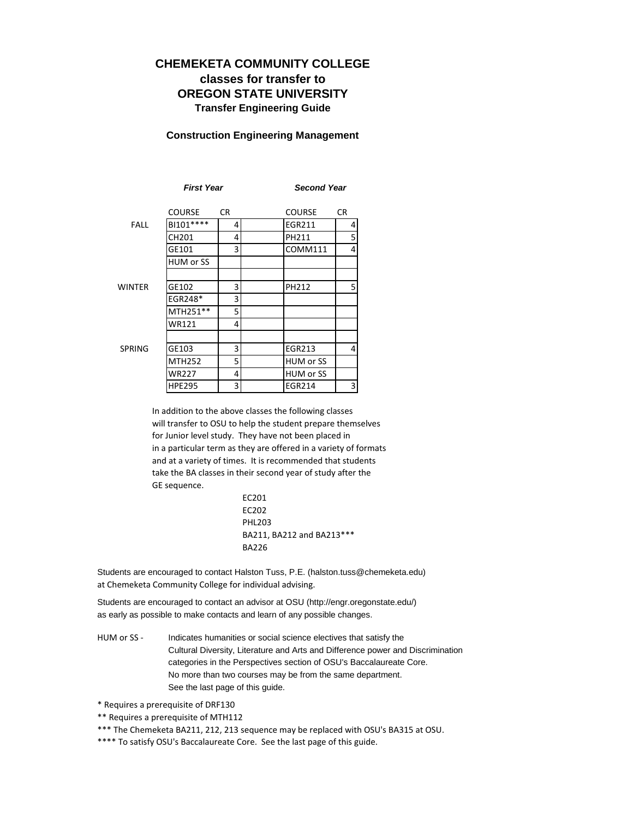# **CHEMEKETA COMMUNITY COLLEGE classes for transfer to OREGON STATE UNIVERSITY Transfer Engineering Guide**

#### **Construction Engineering Management**

|               | <b>First Year</b> |     |               | <b>Second Year</b> |  |  |  |
|---------------|-------------------|-----|---------------|--------------------|--|--|--|
|               | <b>COURSE</b>     | CR. | <b>COURSE</b> | CR.                |  |  |  |
| <b>FALL</b>   | BI101****         | 4   | EGR211        | 4                  |  |  |  |
|               | CH201             | 4   | PH211         | 5                  |  |  |  |
|               | GE101             | 3   | COMM111       | 4                  |  |  |  |
|               | HUM or SS         |     |               |                    |  |  |  |
|               |                   |     |               |                    |  |  |  |
| <b>WINTER</b> | GE102             | 3   | PH212         | 5                  |  |  |  |
|               | EGR248*           | 3   |               |                    |  |  |  |
|               | MTH251**          | 5   |               |                    |  |  |  |
|               | WR121             | 4   |               |                    |  |  |  |
|               |                   |     |               |                    |  |  |  |
| <b>SPRING</b> | GE103             | 3   | EGR213        | 4                  |  |  |  |
|               | <b>MTH252</b>     | 5   | HUM or SS     |                    |  |  |  |
|               | <b>WR227</b>      | 4   | HUM or SS     |                    |  |  |  |
|               | <b>HPE295</b>     | 3   | EGR214        | 3                  |  |  |  |

In addition to the above classes the following classes will transfer to OSU to help the student prepare themselves for Junior level study. They have not been placed in in a particular term as they are offered in a variety of formats and at a variety of times. It is recommended that students take the BA classes in their second year of study after the GE sequence.

> EC201 EC202 PHL203 BA211, BA212 and BA213\*\*\* BA226

Students are encouraged to contact Halston Tuss, P.E. (halston.tuss@chemeketa.edu) at Chemeketa Community College for individual advising.

Students are encouraged to contact an advisor at OSU (http://engr.oregonstate.edu/) as early as possible to make contacts and learn of any possible changes.

HUM or SS - Indicates humanities or social science electives that satisfy the Cultural Diversity, Literature and Arts and Difference power and Discrimination categories in the Perspectives section of OSU's Baccalaureate Core. No more than two courses may be from the same department. See the last page of this guide.

\* Requires a prerequisite of DRF130

- \*\* Requires a prerequisite of MTH112
- \*\*\* The Chemeketa BA211, 212, 213 sequence may be replaced with OSU's BA315 at OSU.
- \*\*\*\* To satisfy OSU's Baccalaureate Core. See the last page of this guide.